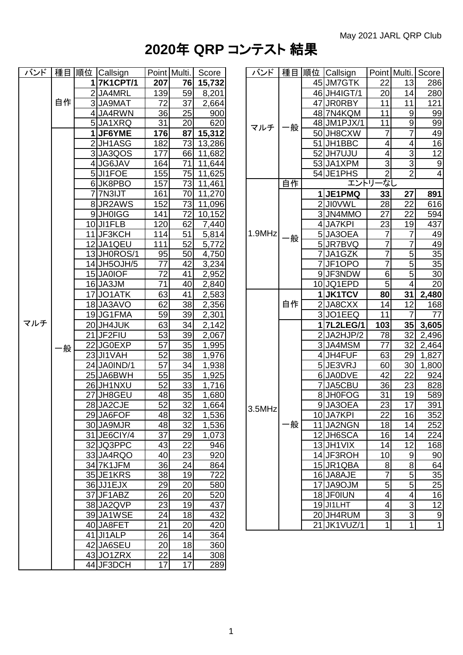May 2021 JARL QRP Club

## 年 **QRP** コンテスト 結果

| バンド |     | 種目 順位   Callsign |                 | Point Multi. | Score     |  | バンド    |          | 種目 順位  Callsign |                         | Point Multi.    | Score               |
|-----|-----|------------------|-----------------|--------------|-----------|--|--------|----------|-----------------|-------------------------|-----------------|---------------------|
|     |     | 17K1CPT/1        | 207             |              | 76 15,732 |  |        |          | 45 JM7GTK       | 22                      | 13              | 286                 |
|     |     | 2JA4MRL          | 139             | 59           | 8,201     |  |        |          | 46 JH4IGT/1     | 20                      | 14              | 280                 |
|     | 自作  | 3JA9MAT          | 72              | 37           | 2,664     |  |        |          | 47 JR0RBY       | 11                      | 11              | 121                 |
|     |     | 4JA4RWN          | 36              | 25           | 900       |  |        |          | 48 7N4KQM       | 11                      | $\overline{9}$  | 99                  |
|     |     | 5JA1XRQ          | $\overline{31}$ | 20           | 620       |  | マルチ    | 一般       | 48 JM1PJX/1     | 11                      | 9               | 99                  |
|     |     | 1JF6YME          | 176             | 87           | 15,312    |  |        |          | 50 JH8CXW       | $\overline{7}$          |                 | 4 <sub>5</sub>      |
|     |     | 2JH1ASG          | 182             | 73           | 13,286    |  |        |          | 51 JH1BBC       | 4                       | 4               | 16                  |
|     |     | 3JA3QOS          | 177             | 66           | 11,682    |  |        |          | 52 JH7UJU       | 4                       | 3               | 12                  |
|     |     | 4JG6JAV          | 164             | 71           | 11,644    |  |        |          | 53 JA1XPM       | $\overline{3}$          | $\mathbf{3}$    | ś                   |
|     |     | 5JI1FOE          | 155             |              | 75 11,625 |  |        |          | 54 JE1PHS       | $\overline{2}$          | $\overline{2}$  |                     |
|     |     | 6JK8PBO          | 157             | 73           | 11,461    |  |        | 自作       | エントリ            | ーなし                     |                 |                     |
|     |     | 7 7N3IJT         | 161             | 70           | 11,270    |  |        |          | 1JE1PMQ         | 33                      | 27              | 891                 |
|     |     | 8JR2AWS          | 152             | 73           | 11,096    |  |        |          | 2JI0VWL         | 28                      | 22              | 616                 |
|     |     | 9JH0IGG          | 141             | 72           | 10,152    |  |        |          | 3JN4MMO         | 27                      | 22              | 594                 |
|     |     | 10JI1FLB         | 120             | 62           | 7,440     |  |        |          | 4JA7KPI         | 23                      | 19              | 437                 |
|     |     | 11JF3KCH         | 114             | 51           | 5,814     |  | 1.9MHz | 一般       | 5JA3OEA         | 7                       |                 | 49                  |
|     |     | 12JA1QEU         | 111             | 52           | 5,772     |  |        |          | 5JR7BVQ         | $\overline{7}$          |                 | 49                  |
|     |     | 13JH0ROS/1       | 95              | 50           | 4,750     |  |        |          | 7JA1GZK         | 7                       | 5               | 35                  |
|     |     | 14 JH5OJH/5      | $\overline{77}$ | 42           | 3,234     |  |        |          | 7JF10PO         | $\overline{7}$          | 5               | 35                  |
|     |     | 15 JA0IOF        | 72              | 41           | 2,952     |  |        |          | 9JF3NDW         | 6 <sup>1</sup>          | 5 <sup>1</sup>  | 3 <sub>0</sub>      |
|     |     | 16JA3JM          | $\overline{71}$ | 40           | 2,840     |  |        | 10JQ1EPD | $\overline{5}$  | 4                       | 2 <sub>0</sub>  |                     |
|     |     | 17JO1ATK         | 63              | 41           | 2,583     |  |        |          | 1JK1TCV         | 80                      | 31              | 2,480               |
|     |     | 18 JA3AVO        | 62              | 38           | 2,356     |  |        | 自作       | 2JA8CXX         | 14                      | 12              | <u>168</u>          |
|     |     | 19JG1FMA         | 59              | 39           | 2,301     |  |        |          | 3JO1EEQ         | 11                      | $\overline{7}$  | 77                  |
| マルチ | - 般 | 20 JH4JUK        | 63              | 34           | 2,142     |  |        |          | 17L2LEG/1       | 103                     |                 | 35 3,605            |
|     |     | 21 JF2FIU        | 53              | 39           | 2,067     |  |        |          | $2$ JA2HJP/2    | 78                      | 32              | 2,496               |
|     |     | 22JG0EXP         | 57              | 35           | 1,995     |  |        |          | 3JA4MSM         | 77                      | 32              | 2,464               |
|     |     | 23JJ1VAH         | 52              | 38           | 1,976     |  |        |          | 4JH4FUF         | 63                      | 29              | 1,827               |
|     |     | 24 JA0 IND/1     | 57              | 34           | 1,938     |  |        |          | $5$ JE3VRJ      | 60                      | 30 <sup>°</sup> | 1,800               |
|     |     | 25 JA6BWH        | 55              | 35           | 1,925     |  |        |          | 6JA0DVE         | 42                      | 22              | 924                 |
|     |     | 26 JH1NXU        | 52              | 33           | 1,716     |  |        |          | 7JA5CBU         | 36                      | 23              | 828                 |
|     |     | 27 JH8GEU        | 48              | 35           | 1,680     |  |        |          | 8JH0FOG         | 31                      | 19              | 589                 |
|     |     | 28 JA2CJE        | 52              | 32           | 1,664     |  | 3.5MHz |          | 9JA3OEA         | 23                      | 17              | 39'                 |
|     |     | 29 JA6FOF        | 48              | 32           | 1,536     |  |        |          | 10 JA7KPI       | 22                      | 16              | 352                 |
|     |     | 30 JA9MJR        | 48              | 32           | 1,536     |  |        | 一般       | 11 JA2NGN       | 18                      | 14              | 252                 |
|     |     | 31 JE6CIY/4      | 37              | 29           | 1,073     |  |        |          | 12 JH6SCA       | 16                      | 14              | 224                 |
|     |     | 32JQ3PPC         | 43              | 22           | 946       |  |        |          | 13JH1VIX        | 14                      | 12              | 168                 |
|     |     | 33JA4RQO         | 40              | 23           | 920       |  |        |          | 14 JF3ROH       | 10                      | 9               | 90                  |
|     |     | 34 7K1 JFM       | 36              | 24           | 864       |  |        |          | 15 JR1QBA       | 8 <sup>0</sup>          | 8               | 64                  |
|     |     | 35 JE1KRS        | 38              | 19           | 722       |  |        |          | 16 JA8AJE       | 7                       | 5               | 35                  |
|     |     | 36JJ1EJX         | 29              | 20           | 580       |  |        |          | 17 JA9OJM       | 5 <sup>1</sup>          | 5               | 25                  |
|     |     | 37JF1ABZ         | $\overline{26}$ | 20           | 520       |  |        |          | 18 JF0IUN       | $\overline{\mathbf{4}}$ | 4               | 16                  |
|     |     | 38 JA2QVP        | 23              | 19           | 437       |  |        |          | 19JI1LHT        | 4                       | $\overline{3}$  | 12                  |
|     |     | 39JA1WSE         | 24              | 18           | 432       |  |        |          | 20 JH4RUM       | 3                       | $\overline{3}$  | $\ddot{\bm{\zeta}}$ |
|     |     | 40JA8FET         | 21              | 20           | 420       |  |        |          | 21 JK1 VUZ/1    |                         | 1               |                     |
|     |     | $41$ JI1ALP      | 26              | 14           | 364       |  |        |          |                 |                         |                 |                     |
|     |     | 42 JA6SEU        | 20              | 18           | 360       |  |        |          |                 |                         |                 |                     |
|     |     | 43JO1ZRX         | 22              | 14           | 308       |  |        |          |                 |                         |                 |                     |
|     |     | 44 JF3DCH        | 17              | 17           | 289       |  |        |          |                 |                         |                 |                     |

| 位 Calls <u>ign</u> |                 | Point Multi. | Score  |  | バンド    | 種目 順位 |                | Callsign      | Point Multi.    |                | Score           |  |  |
|--------------------|-----------------|--------------|--------|--|--------|-------|----------------|---------------|-----------------|----------------|-----------------|--|--|
| 1 7K1 CPT/1        | 207             | 76           | 15,732 |  |        |       |                | 45 JM7GTK     | 22              | 13             | 286             |  |  |
| 2JA4MRL            | 139             | 59           | 8,201  |  |        |       |                | 46 JH4IGT/1   | 20              | 14             | 280             |  |  |
| 3JA9MAT            | 72              | 37           | 2,664  |  |        |       | 47             | <b>JR0RBY</b> | 11              | 11             | 121             |  |  |
| 4JA4RWN            | 36              | 25           | 900    |  | マルチ    |       |                | 48 7N4KQM     | 11              | 9              | 99              |  |  |
| 5JA1XRQ            | $\overline{31}$ | 20           | 620    |  |        |       |                | 48 JM1PJX/1   | 11              | 9              | 99              |  |  |
| 1JF6YME            | 176             | 87           | 15,312 |  |        | - 般   |                | 50 JH8CXW     | $\overline{7}$  | 7              | 49              |  |  |
| 2JH1ASG            | 182             | 73           | 13,286 |  |        |       |                | 51JH1BBC      | 4               | 4              | 16              |  |  |
| 3JA3QOS            | 177             | 66           | 11,682 |  |        |       |                | 52JH7UJU      | 4               | $\overline{3}$ | 12              |  |  |
| 4JG6JAV            | 164             | 71           | 11,644 |  |        |       |                | 53 JA1XPM     | $\overline{3}$  | $\overline{3}$ | $\overline{9}$  |  |  |
| 5JI1FOE            | 155             | 75           | 11,625 |  |        |       |                | 54 JE1PHS     | $\overline{2}$  | $\overline{2}$ | 4               |  |  |
| 6JK8PBO            | 157             | 73           | 11,461 |  |        | 自作    | なし<br>エントリ     |               |                 |                |                 |  |  |
| 7 7N3IJT           | 161             | 70           | 11,270 |  |        |       |                | 1JE1PMQ       | 33              | 27             | 891             |  |  |
| 8JR2AWS            | 152             | 73           | 11,096 |  |        |       |                | 2JI0VWL       | 28              | 22             | 616             |  |  |
| 9JH0IGG            | 141             | 72           | 10,152 |  |        |       |                | 3JN4MMO       | 27              | 22             | 594             |  |  |
| 10JI1FLB           | 120             | 62           | 7,440  |  |        |       |                | 4JA7KPI       | 23              | 19             | 437             |  |  |
| 11JF3KCH           | 114             | 51           | 5,814  |  | 1.9MHz | 一般    |                | 5JA3OEA       | 7               | 7              | 49              |  |  |
| 12JA1QEU           | 111             | 52           | 5,772  |  |        |       |                | 5JR7BVQ       | 7               |                | 49              |  |  |
| 13JH0ROS/1         | 95              | 50           | 4,750  |  |        |       | $\overline{7}$ | JA1GZK        | 7               | 5              | $\overline{35}$ |  |  |
| 14 JH5OJH/5        | 77              | 42           | 3,234  |  |        |       |                | 7JF1OPO       | 7               | 5              | 35              |  |  |
| 15 JA0IOF          | $\overline{7}2$ | 41           | 2,952  |  |        |       |                | 9JF3NDW       | 6               | $\overline{5}$ | $\overline{30}$ |  |  |
| 16JA3JM            | 71              | 40           | 2,840  |  |        |       |                | 10JQ1EPD      | $\overline{5}$  | 4              | $\overline{20}$ |  |  |
| 17JO1ATK           | 63              | 41           | 2,583  |  |        | 自作    | 1              | <b>JK1TCV</b> | 80              | 31             | 2,480           |  |  |
| 18JA3AVO           | 62              | 38           | 2,356  |  |        |       | $\overline{2}$ | JA8CXX        | 14              | 12             | 168             |  |  |
| 19JG1FMA           | 59              | 39           | 2,301  |  |        |       |                | 3JO1EEQ       | 11              | 7              | 77              |  |  |
| 20 JH4JUK          | 63              | 34           | 2,142  |  |        |       |                | $1$ 7L2LEG/1  | 103             | 35             | 3,605           |  |  |
| 21 JF2FIU          | 53              | 39           | 2,067  |  |        |       |                | $2$ JA2HJP/2  | 78              | 32             | 2,496           |  |  |
| 22UG0EXP           | 57              | 35           | 1,995  |  |        |       |                | 3JA4MSM       | 77              | 32             | 2,464           |  |  |
| 23 JI1VAH          | 52              | 38           | 1,976  |  |        |       |                | 4JH4FUF       | 63              | 29             | 1,827           |  |  |
| 24 JA0IND/1        | 57              | 34           | 1,938  |  |        |       |                | 5JE3VRJ       | 60              | 30             | 1,800           |  |  |
| 25 JA6BWH          | 55              | 35           | 1,925  |  |        |       |                | 6JA0DVE       | 42              | 22             | 924             |  |  |
| 26 JH1NXU          | 52              | 33           | 1,716  |  |        |       |                | 7JA5CBU       | 36              | 23             | 828             |  |  |
| 27JH8GEU           | 48              | 35           | 1,680  |  |        |       |                | 8JH0FOG       | 31              | 19             | 589             |  |  |
| 28 JA2CJE          | 52              | 32           | 1,664  |  | 3.5MHz |       |                | 9JA3OEA       | 23              | 17             | 391             |  |  |
| 29JA6FOF           | 48              | 32           | 1,536  |  |        |       |                | 10 JA7KPI     | $\overline{22}$ | 16             | 352             |  |  |
| 30 JA9MJR          | 48              | 32           | 1,536  |  |        | 一般    |                | 11 JA2NGN     | 18              | 14             | 252             |  |  |
| 31 JE6CIY/4        | 37              | 29           | 1,073  |  |        |       |                | 12 JH6SCA     | 16              | 14             | 224             |  |  |
| 32JQ3PPC           | 43              | 22           | 946    |  |        |       |                | 13 JH1VIX     | 14              | 12             | 168             |  |  |
| 33 JA4RQO          | 40              | 23           | 920    |  |        |       |                | 14 JF3ROH     | 10              | 9              | 90              |  |  |
| 34 7K1JFM          | 36              | 24           | 864    |  |        |       |                | 15JR1QBA      | 8               | 8              | 64              |  |  |
| 35 JE1 KRS         | 38              | 19           | 722    |  |        |       |                | 16 JA8AJE     | $\overline{7}$  | 5              | 35              |  |  |
| 36 JJ1 EJX         | 29              | 20           | 580    |  |        |       |                | 17 JA9OJM     | 5               | 5              | 25              |  |  |
| 37 JF1ABZ          | 26              | 20           | 520    |  |        |       |                | 18 JF0IUN     | 4               | 4              | 16              |  |  |
| 38 JA2QVP          | 23              | 19           | 437    |  |        |       |                | 19 JI1LHT     | 4               | 3              | 12              |  |  |
| 39 JA1WSE          | 24              | 18           | 432    |  |        |       |                | 20 JH4RUM     | 3               | $\mathsf 3$    | $\frac{9}{1}$   |  |  |
| 40 JA8FET          | 21              | 20           | 420    |  |        |       |                | 21 JK1 VUZ/1  | 1               | 1              |                 |  |  |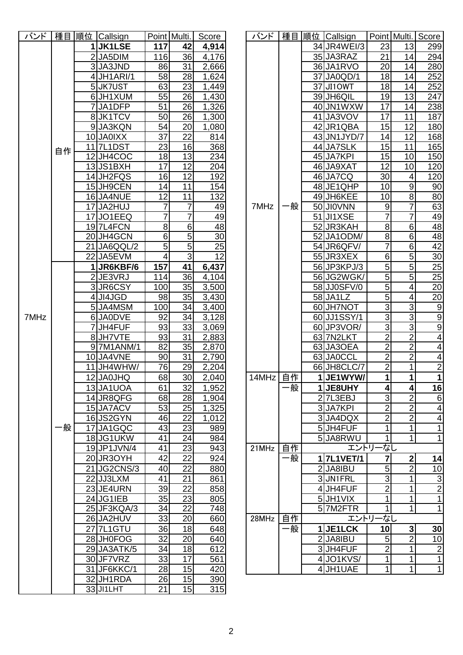| バンド  |     | 種目 順位   Callsign |                 | Point Multi.    | Score |  | バンド        |                  | 種目 順位 Callsign |                          | Point Multi.   | Score                    |
|------|-----|------------------|-----------------|-----------------|-------|--|------------|------------------|----------------|--------------------------|----------------|--------------------------|
|      |     | 1JK1LSE          | 117             | 42              | 4,914 |  |            |                  | 34 JR4WEI/3    | 23                       | 13             | 299                      |
|      |     | $2$ JA5DIM       | 116             | 36              | 4,176 |  |            |                  | 35 JA3RAZ      | 21                       | 14             | 294                      |
|      |     | 3JA3JND          | 86              | 31              | 2,666 |  |            |                  | 36 JA1RVO      | 20                       | 14             | 280                      |
|      |     | $4$ JH1ARI/1     | 58              | 28              | 1,624 |  |            |                  | 37 JA0QD/1     | 18                       | 14             | 252                      |
|      |     | 5UK7UST          | 63              | 23              | 1,449 |  |            | <b>37 JI1OWT</b> | 18             | 14                       | 252            |                          |
|      |     | 6JH1XUM          | 55              | 26              | 1,430 |  |            |                  | 39 JH6QIL      | 19                       | 13             | 247                      |
|      |     | 7JA1DFP          | $\overline{51}$ | 26              | 1,326 |  |            |                  | 40 JN1WXW      | $\overline{17}$          | 14             | 238                      |
|      |     | 8JK1TCV          | 50              | 26              | 1,300 |  |            |                  | 41 JA3VOV      | 17                       | 11             | 187                      |
|      |     | 9JA3KQN          | 54              | 20              | 1,080 |  |            |                  | 42 JR1QBA      | 15                       | 12             | 18 <sub>0</sub>          |
|      |     | 10 JA0IXX        | 37              | 22              | 814   |  |            |                  | 43 JN1JYD/7    | 14                       | 12             | 168                      |
|      |     | 11 7L1DST        | 23              | 16              | 368   |  |            |                  | 44 JA7SLK      | 15                       | 11             | 165                      |
|      | 自作  | 12JH4COC         | 18              | 13              | 234   |  |            |                  | 45 JA7KPI      | 15                       | 10             |                          |
|      |     |                  | 17              |                 |       |  |            |                  |                |                          |                | 15 <sub>0</sub>          |
|      |     | 13JS1BXH         |                 | 12              | 204   |  |            |                  | 46 JA9XAT      | 12                       | 10             | 120                      |
|      |     | 14 JH2 FQS       | 16              | 12              | 192   |  |            |                  | 46 JA7CQ       | 30                       | 4              | 120                      |
|      |     | 15 JH9CEN        | 14              | 11              | 154   |  |            |                  | 48 JE1 QHP     | 10                       | 9              | 90                       |
|      |     | 16JA4NUE         | 12              | 11              | 132   |  |            |                  | 49 JH6KEE      | 10                       | 8 <sup>1</sup> | 80                       |
|      |     | 17 JA2HUJ        | 7               | 7               | 49    |  | 7MHz       | 一般               | 50 JIOVNN      | $\overline{9}$           |                | 63                       |
|      |     | 17J01EEQ         | 7               | 7               | 49    |  |            |                  | 51 JI1XSE      | 7                        |                | 49                       |
|      |     | 19 7L4FCN        | 8               | $6\phantom{.}6$ | 48    |  |            |                  | 52 JR3KAH      | 8 <sup>1</sup>           | 6              | 48                       |
|      |     | 20 JH4GCN        | 6               | G               | 30    |  |            |                  | 52 JA10DM/     | 8 <sup>1</sup>           | 6 <sup>1</sup> | 48                       |
|      |     | 21 JA6QQL/2      | 5               | $\overline{5}$  | 25    |  |            |                  | 54 JR6QFV/     | $\overline{7}$           | 6              | 42                       |
| 7MHz |     | 22 JA5EVM        | 4               | 3               | 12    |  |            |                  | 55 JR3XEX      | 6                        | 5              | 3 <sub>0</sub>           |
|      |     | 1JR6KBF/6        | 157             | 41              | 6,437 |  |            |                  | 56 JP3KPJ/3    | 5                        | 5              | 25                       |
|      |     | $2$ JE3VRJ       | 114             | 36              | 4,104 |  |            |                  | 56 JG2WGK/     | 5                        | 5              | 25                       |
|      |     | 3JR6CSY          | 100             | 35              | 3,500 |  |            |                  | 58 JJ0SFV/0    | 5                        | 4              | 2 <sup>0</sup>           |
|      |     | 4JI4JGD          | 98              | 35              | 3,430 |  |            |                  | 58 JA1LZ       | 5                        | 4              | 2(                       |
|      |     | 5JA4MSM          | 100             | $\overline{34}$ | 3,400 |  |            |                  | 60 JH7NOT      | $\overline{3}$           | 3              |                          |
|      |     | 6JA0DVE          | 92              | 34              | 3,128 |  |            |                  | 60 JJ1SSY/1    | 3                        | 3              | Ś                        |
|      |     | 7JH4FUF          | 93              | 33              | 3,069 |  |            |                  | 60 JP3VOR/     | $\overline{3}$           | $\overline{3}$ | $\overline{\mathcal{L}}$ |
|      |     | 8JH7VTE          | 93              | 31              | 2,883 |  |            |                  | 63 7N2LKT      | 2                        | $\overline{2}$ |                          |
|      |     | 97M1ANM/1        | 82              | 35              | 2,870 |  |            |                  | 63 JA3OEA      | $\overline{c}$           | $\overline{2}$ |                          |
|      |     | 10JA4VNE         | 90              | 31              | 2,790 |  |            |                  | 63 JA0CCL      | 2                        | 2              |                          |
|      |     | 11 JH4WHW/       | 76              | 29              | 2,204 |  |            |                  | 66 JH8CLC/7    | 2                        |                |                          |
|      |     | 12 JA0JHQ        | 68              | 30 <sup>1</sup> | 2,040 |  | 14MHz   自作 |                  | 1JE1WYW/       | $\overline{1}$           | $\overline{1}$ |                          |
|      |     | 13JA1UOA         | 61              | 32              | 1,952 |  |            | 一般               | 1JE8UHY        | $\vert \mathbf{A} \vert$ | $\overline{4}$ | 16                       |
|      |     | 14 JR8 QF G      | 68              | 28              | 1,904 |  |            |                  | $2$  7L3EBJ    | $\overline{3}$           | 2              |                          |
|      |     | 15 JA7ACV        | 53              | 25              | 1,325 |  |            |                  | 3JA7KPI        | 2                        | 2              |                          |
|      |     | 16 JS2GYN        | 46              | 22              | 1,012 |  |            |                  | 3JA4DQX        | $\overline{2}$           | $\overline{2}$ | $\overline{\mathbf{r}}$  |
|      | - 般 | 17JA1GQC         | 43              | 23              | 989   |  |            |                  | 5JH4FUF        |                          | 1              |                          |
|      |     | 18JG1UKW         | 41              | 24              | 984   |  |            |                  | 5JA8RWU        |                          | 1              |                          |
|      |     | 19JP1JVN/4       | 41              | 23              | 943   |  | 21MHz      | 自作               |                | エントリーなし                  |                |                          |
|      |     | 20JR3OYH         | 42              | 22              | 924   |  |            | 一般               | 17L1VET/1      | 7                        | 2 <sup>1</sup> | 14                       |
|      |     | 21 JG2CNS/3      | 40              | 22              |       |  |            |                  | $2$ JA8IBU     | $\overline{5}$           | $\overline{2}$ |                          |
|      |     | 22JJ3LXM         | 41              | 21              | 880   |  |            |                  | 3JN1FRL        | $\overline{3}$           |                | 10                       |
|      |     |                  |                 |                 | 861   |  |            |                  |                |                          |                |                          |
|      |     | 23 JE4URN        | 39              | 22              | 858   |  |            |                  | 4JH4FUF        | 2                        |                |                          |
|      |     | 24 JG1 IEB       | 35              | 23              | 805   |  |            |                  | $5$ JH1VIX     |                          | 1              |                          |
|      |     | 25 JF3KQA/3      | 34              | 22              | 748   |  |            |                  | $5$  7M2FTR    |                          | 1              |                          |
|      |     | 26 JA2HUV        | 33              | 20              | 660   |  | 28MHz      | 自作               | エントリー          | ーなし                      |                |                          |
|      |     | 27 7 L1 GTU      | 36              | 18              | 648   |  |            | 一般               | 1JE1LCK        | 10 <sup>1</sup>          | 3 <sup>1</sup> | 3 <sub>0</sub>           |
|      |     | 28 JH0FOG        | 32              | 20              | 640   |  |            |                  | 2JA8IBU        | 5 <sup>1</sup>           | $\overline{2}$ | 10                       |
|      |     | 29 JA3ATK/5      | 34              | 18              | 612   |  |            |                  | 3JH4FUF        | 2                        |                |                          |
|      |     | 30 JF7VRZ        | 33              | 17              | 561   |  |            |                  | $4$ JO1KVS/    |                          | 1              |                          |
|      |     | 31 JF6KKC/1      | 28              | 15              | 420   |  |            |                  | 4JH1UAE        | 1                        | 1              |                          |
|      |     | 32JH1RDA         | 26              | 15              | 390   |  |            |                  |                |                          |                |                          |
|      |     | 33 JI1LHT        | 21              | 15              | 315   |  |            |                  |                |                          |                |                          |

| 位 Callsign         |                         | Point Multi.   | Score           | バンド      |    | 種目 順位   Callsign |                         |                  | Point Multi. Score            |
|--------------------|-------------------------|----------------|-----------------|----------|----|------------------|-------------------------|------------------|-------------------------------|
| 1JK1LSE            | 117                     | 42             | 4,914           |          |    | 34 JR4WEI/3      | 23                      | 13               | 299                           |
| 2JA5DIM            | 116                     | 36             | 4,176           |          |    | 35 JA3RAZ        | 21                      | 14               | 294                           |
| 3JA3JND            | 86                      | 31             | 2,666           |          |    | 36 JA1RVO        | 20                      | 14               | 280                           |
| $4$ JH1ARI/1       | 58                      | 28             | 1,624           |          |    | 37 JA0QD/1       | 18                      | 14               | 252                           |
| 5JK7UST            | 63                      | 23             | 1,449           |          |    | 37 JI10WT        | 18                      | 14               | 252                           |
| 6JH1XUM            | 55                      | 26             | 1,430           |          |    | 39 JH6QIL        | 19                      | 13               | 247                           |
| 7JA1DFP            | 51                      | 26             | 1,326           |          |    | 40 JN1WXW        | 17                      | 14               | 238                           |
| 8JK1TCV            | 50                      | 26             | 1,300           |          |    | 41 JA3VOV        | 17                      | 11               | 187                           |
| 9JA3KQN            | 54                      | 20             | 1,080           |          |    | 42JR1QBA         | 15                      | 12               | 180                           |
| 10 JA0IXX          | 37                      | 22             | 814             |          |    | 43 JN1JYD/7      | 14                      | 12               | 168                           |
| 11 7L1DST          | 23                      | 16             | 368             |          |    | 44 JA7SLK        | 15                      | 11               | 165                           |
| 12JH4COC           | 18                      | 13             | 234             |          |    | 45 JA7KPI        | 15                      | 10               | 150                           |
| 13JS1BXH           | 17                      | 12             | 204             |          |    | 46 JA9XAT        | 12                      | 10               | 120                           |
| 14JH2FQS           | 16                      | 12             | 192             |          |    | 46 JA7CQ         | 30                      | 4                | 120                           |
| 15JH9CEN           | 14                      | 11             | 154             |          |    | 48 JE1 QHP       | 10                      | $\boldsymbol{9}$ | 90                            |
| 16JA4NUE           | 12                      | 11             | 132             |          |    | 49 JH6KEE        | 10                      | 8                | 80                            |
| 17JA2HUJ           | 7                       | 7              | 49              | 7MHz     | 一般 | 50 JIOVNN        | $\boldsymbol{9}$        | 7                | 63                            |
| 17J01EEQ           | 7                       | $\overline{7}$ | 49              |          |    | 51 JI1XSE        | $\overline{7}$          | 7                | 49                            |
| 19 7L4FCN          | $\overline{8}$          | 6              | 48              |          |    | 52 JR3KAH        | $\overline{8}$          | 6                | 48                            |
| 20UH4GCN           | $\overline{6}$          | $\overline{5}$ | 30              |          |    | 52 JA10DM/       | $\overline{8}$          | 6                | 48                            |
| 21JA6QQL/2         | $\overline{5}$          | 5              | 25              |          |    | 54 JR6QFV/       | $\overline{7}$          | 6                | 42                            |
| 22 JA5EVM          | $\overline{\mathbf{4}}$ | $\overline{3}$ | $\overline{12}$ |          |    | 55 JR3XEX        | 6                       | 5                | 30                            |
| 1JR6KBF/6          | 157                     | 41             | 6,437           |          |    | 56 JP3KPJ/3      | $\overline{5}$          | 5                | 25                            |
| $2$ JE3VRJ         | 114                     | 36             | 4,104           |          |    | 56 JG2WGK/       | $\overline{5}$          | $\overline{5}$   | 25                            |
| 3JR6CSY            | 100                     | 35             | 3,500           |          |    | 58 JJ0SFV/0      | $\overline{5}$          | 4                | 20                            |
| 4JI4JGD            | 98                      | 35             | 3,430           |          |    | 58 JA1LZ         | $\overline{5}$          | 4                | 20                            |
| 5JA4MSM            | 100                     | 34             | 3,400           |          |    | 60 JH7NOT        | $\overline{3}$          | $\overline{3}$   | $\boldsymbol{9}$              |
| 6JA0DVE            | 92                      | 34             | 3,128           |          |    | 60 JJ1SSY/1      | $\overline{3}$          | 3                | $\boldsymbol{9}$              |
| 7JH4FUF            | 93                      | 33             | 3,069           |          |    | 60 JP3VOR/       | 3                       | 3                | $\boldsymbol{9}$              |
| 8JH7VTE            | 93                      | 31             | 2,883           |          |    | 63 7N2LKT        | $\overline{2}$          | $\overline{2}$   | 4                             |
| 97M1ANM/1          | 82                      | 35             | 2,870           |          |    | 63 JA3OEA        | $\overline{2}$          | $\overline{2}$   | $\overline{\mathbf{A}}$       |
| 10JA4VNE           | 90                      | 31             | 2,790           |          |    | 63 JA0CCL        | $\overline{2}$          | $\overline{2}$   | $\overline{4}$                |
| 11 JH4WHW/         | 76                      | 29             | 2,204           |          |    | 66 JH8CLC/7      | $\overline{2}$          | 1                |                               |
| 12 JA0JHQ          | 68                      | 30             | 2,040           | 14MHz 自作 |    | 1JE1WYW/         | $\overline{1}$          | $\overline{1}$   | $\frac{2}{1}$                 |
| 13JA1UOA           | 61                      | 32             | 1,952           |          | 一般 | 1 JE8UHY         | 4                       | 4                | 16                            |
| 14JR8QFG           | 68                      | 28             | 1,904           |          |    | $2$ 7L3EBJ       | $\overline{3}$          | $\overline{c}$   | 6                             |
| 15 JA7ACV          | 53                      | 25             | 1,325           |          |    | 3 JA7KPI         | $\overline{\mathbf{c}}$ | $\overline{2}$   | $\overline{\mathbf{4}}$       |
| 16JS2GYN           | 46                      | 22             | 1,012           |          |    | 3JA4DQX          | $\overline{2}$          | $\overline{2}$   | $\overline{\mathbf{4}}$       |
| 17JA1GQC           | 43                      | 23             | 989             |          |    | 5JH4FUF          | 1                       | 1                | $\mathbf{1}$                  |
| 18JG1UKW           | 41                      | 24             | 984             |          |    | 5JA8RWU          | $\mathbf{1}$            | 1                | $\mathbf{1}$                  |
| 19UP1JVN/4         | 41                      | 23             | 943             | 21MHz    | 自作 | エントリ             | なし                      |                  |                               |
|                    | 42                      | 22             | 924             |          | 一般 | 17L1VET/1        | 7                       | $\mathbf 2$      | 14                            |
| 20 JR3OYH          |                         |                |                 |          |    | $2$ JA8IBU       |                         | $\overline{2}$   |                               |
| <u>21 JG2CNS/3</u> | 40                      | 22             | 880             |          |    |                  | 5<br>$\overline{3}$     |                  | 10                            |
| 22JJ3LXM           | 41<br>39                | 21             | 861             |          |    | 3JN1FRL          | $\overline{2}$          | 1                | $\mathsf 3$<br>$\overline{2}$ |
| 23 JE4URN          |                         | 22             | 858             |          |    | 4JH4FUF          |                         |                  |                               |
| 24 JG1 IEB         | 35                      | 23             | 805             |          |    | $5$ JH1VIX       | 1                       | 1                | $\mathbf{1}$<br>$\mathbf{1}$  |
| <u>25 JF3KQA/3</u> | 34                      | 22             | 748             |          |    | 57M2FTR          | 1<br>エントリーなし            | 1                |                               |
| 26 JA2HUV          | 33                      | 20             | 660             | 28MHz    | 自作 |                  |                         |                  |                               |
| 27 7L1GTU          | 36                      | 18             | 648             |          | 一般 | 1JE1LCK          | 10                      | 3                | 30                            |
| 28JH0FOG           | 32                      | 20             | 640             |          |    | 2JA8IBU          | 5                       | $\overline{2}$   | 10                            |
| <u>29 JA3ATK/5</u> | 34                      | 18             | 612             |          |    | 3JH4FUF          | $\overline{2}$          |                  | $\overline{2}$                |
| 30UF7VRZ           | 33                      | 17             | 561             |          |    | 4JO1KVS/         | 1                       | 1                | $\mathbf 1$                   |
| 31 JF6KKC/1        | 28                      | 15             | 420             |          |    | 4JH1UAE          | 1                       | 1                | $\overline{\phantom{0}}$      |